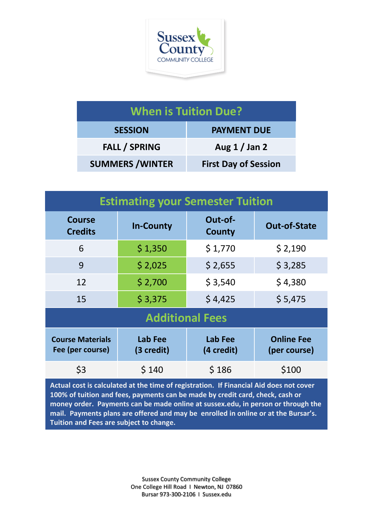

| <b>When is Tuition Due?</b> |                             |  |  |
|-----------------------------|-----------------------------|--|--|
| <b>SESSION</b>              | <b>PAYMENT DUE</b>          |  |  |
| <b>FALL / SPRING</b>        | Aug $1/$ Jan 2              |  |  |
| <b>SUMMERS / WINTER</b>     | <b>First Day of Session</b> |  |  |

| <b>Estimating your Semester Tuition</b>     |                       |                          |                                   |  |  |
|---------------------------------------------|-----------------------|--------------------------|-----------------------------------|--|--|
| <b>Course</b><br><b>Credits</b>             | <b>In-County</b>      | Out-of-<br><b>County</b> | <b>Out-of-State</b>               |  |  |
| 6                                           | \$1,350               | \$1,770                  | \$2,190                           |  |  |
| 9                                           | \$2,025               | \$2,655                  | \$3,285                           |  |  |
| 12                                          | \$2,700               | \$3,540                  | \$4,380                           |  |  |
| 15                                          | \$3,375               | \$4,425                  | \$5,475                           |  |  |
| <b>Additional Fees</b>                      |                       |                          |                                   |  |  |
| <b>Course Materials</b><br>Fee (per course) | Lab Fee<br>(3 credit) | Lab Fee<br>(4 credit)    | <b>Online Fee</b><br>(per course) |  |  |
| \$3                                         | \$140                 | \$186                    | \$100                             |  |  |

**Actual cost is calculated at the time of registration. If Financial Aid does not cover 100% of tuition and fees, payments can be made by credit card, check, cash or money order. Payments can be made online at sussex.edu, in person or through the mail. Payments plans are offered and may be enrolled in online or at the Bursar's. Tuition and Fees are subject to change.**